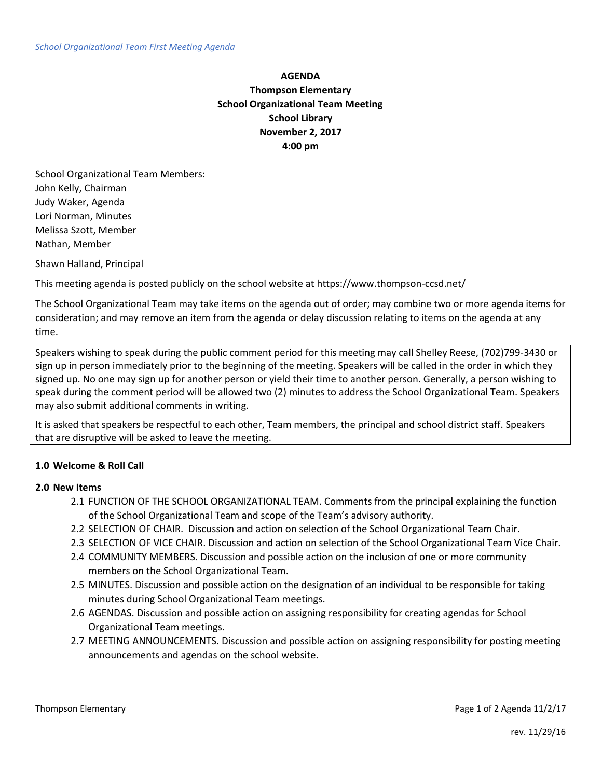# **AGENDA Thompson Elementary School Organizational Team Meeting School Library November 2, 2017 4:00 pm**

School Organizational Team Members: John Kelly, Chairman Judy Waker, Agenda Lori Norman, Minutes Melissa Szott, Member Nathan, Member

Shawn Halland, Principal

This meeting agenda is posted publicly on the school website at https://www.thompson-ccsd.net/

The School Organizational Team may take items on the agenda out of order; may combine two or more agenda items for consideration; and may remove an item from the agenda or delay discussion relating to items on the agenda at any time.

Speakers wishing to speak during the public comment period for this meeting may call Shelley Reese, (702)799-3430 or sign up in person immediately prior to the beginning of the meeting. Speakers will be called in the order in which they signed up. No one may sign up for another person or yield their time to another person. Generally, a person wishing to speak during the comment period will be allowed two (2) minutes to address the School Organizational Team. Speakers may also submit additional comments in writing.

It is asked that speakers be respectful to each other, Team members, the principal and school district staff. Speakers that are disruptive will be asked to leave the meeting.

## **1.0 Welcome & Roll Call**

#### **2.0 New Items**

- 2.1 FUNCTION OF THE SCHOOL ORGANIZATIONAL TEAM. Comments from the principal explaining the function of the School Organizational Team and scope of the Team's advisory authority.
- 2.2 SELECTION OF CHAIR. Discussion and action on selection of the School Organizational Team Chair.
- 2.3 SELECTION OF VICE CHAIR. Discussion and action on selection of the School Organizational Team Vice Chair.
- 2.4 COMMUNITY MEMBERS. Discussion and possible action on the inclusion of one or more community members on the School Organizational Team.
- 2.5 MINUTES. Discussion and possible action on the designation of an individual to be responsible for taking minutes during School Organizational Team meetings.
- 2.6 AGENDAS. Discussion and possible action on assigning responsibility for creating agendas for School Organizational Team meetings.
- 2.7 MEETING ANNOUNCEMENTS. Discussion and possible action on assigning responsibility for posting meeting announcements and agendas on the school website.

Thompson Elementary **Page 1 of 2 Agenda 11/2/17** Change 1 of 2 Agenda 11/2/17